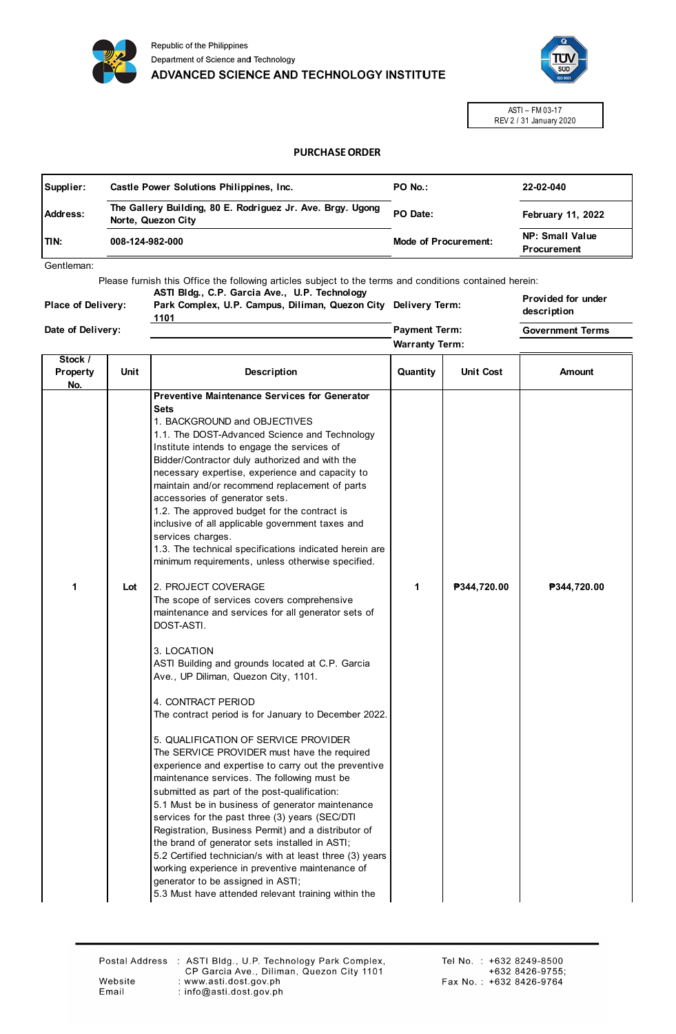



ASTI – FM 03-17 REV 2 / 31 January 2020

## **PURCHASE ORDER**

| Supplier: | Castle Power Solutions Philippines, Inc.                                         | PO No.:                     | 22-02-040                             |
|-----------|----------------------------------------------------------------------------------|-----------------------------|---------------------------------------|
| Address:  | The Gallery Building, 80 E. Rodriguez Jr. Ave. Brgy. Ugong<br>Norte, Quezon City | PO Date:                    | <b>February 11, 2022</b>              |
| ITIN:     | 008-124-982-000                                                                  | <b>Mode of Procurement:</b> | NP: Small Value<br><b>Procurement</b> |

**Warranty Term: Payment Term:**

Gentleman:

Please furnish this Office the following articles subject to the terms and conditions contained herein: **ASTI Bldg., C.P. Garcia Ave., U.P. Technology** 

**Place of Delivery:**

**Park Complex, U.P. Campus, Diliman, Quezon City Delivery Term: 1101**

**Provided for under description Government Terms**

**Date of Delivery:**

| Stock /<br>Property | Unit | Description                                                                                                                                                                                                                                                                                                                                                                                                                                                                                                                                                                                                                                                                                                                                                                                                                                                                                                                                                                                                                                                                                                                                                                                                                                                                                                                                                                                                                                                                                                                                                                      | Quantity | <b>Unit Cost</b> | Amount      |
|---------------------|------|----------------------------------------------------------------------------------------------------------------------------------------------------------------------------------------------------------------------------------------------------------------------------------------------------------------------------------------------------------------------------------------------------------------------------------------------------------------------------------------------------------------------------------------------------------------------------------------------------------------------------------------------------------------------------------------------------------------------------------------------------------------------------------------------------------------------------------------------------------------------------------------------------------------------------------------------------------------------------------------------------------------------------------------------------------------------------------------------------------------------------------------------------------------------------------------------------------------------------------------------------------------------------------------------------------------------------------------------------------------------------------------------------------------------------------------------------------------------------------------------------------------------------------------------------------------------------------|----------|------------------|-------------|
| No.<br>1            | Lot  | <b>Preventive Maintenance Services for Generator</b><br>Sets<br>1. BACKGROUND and OBJECTIVES<br>1.1. The DOST-Advanced Science and Technology<br>Institute intends to engage the services of<br>Bidder/Contractor duly authorized and with the<br>necessary expertise, experience and capacity to<br>maintain and/or recommend replacement of parts<br>accessories of generator sets.<br>1.2. The approved budget for the contract is<br>inclusive of all applicable government taxes and<br>services charges.<br>1.3. The technical specifications indicated herein are<br>minimum requirements, unless otherwise specified.<br>2. PROJECT COVERAGE<br>The scope of services covers comprehensive<br>maintenance and services for all generator sets of<br>DOST-ASTI.<br>3. LOCATION<br>ASTI Building and grounds located at C.P. Garcia<br>Ave., UP Diliman, Quezon City, 1101.<br>4. CONTRACT PERIOD<br>The contract period is for January to December 2022.<br>5. QUALIFICATION OF SERVICE PROVIDER<br>The SERVICE PROVIDER must have the required<br>experience and expertise to carry out the preventive<br>maintenance services. The following must be<br>submitted as part of the post-qualification:<br>5.1 Must be in business of generator maintenance<br>services for the past three (3) years (SEC/DTI<br>Registration, Business Permit) and a distributor of<br>the brand of generator sets installed in ASTI;<br>5.2 Certified technician/s with at least three (3) years<br>working experience in preventive maintenance of<br>generator to be assigned in ASTI; | 1        | ₱344,720.00      | ₱344,720.00 |
|                     |      | 5.3 Must have attended relevant training within the                                                                                                                                                                                                                                                                                                                                                                                                                                                                                                                                                                                                                                                                                                                                                                                                                                                                                                                                                                                                                                                                                                                                                                                                                                                                                                                                                                                                                                                                                                                              |          |                  |             |

Website Email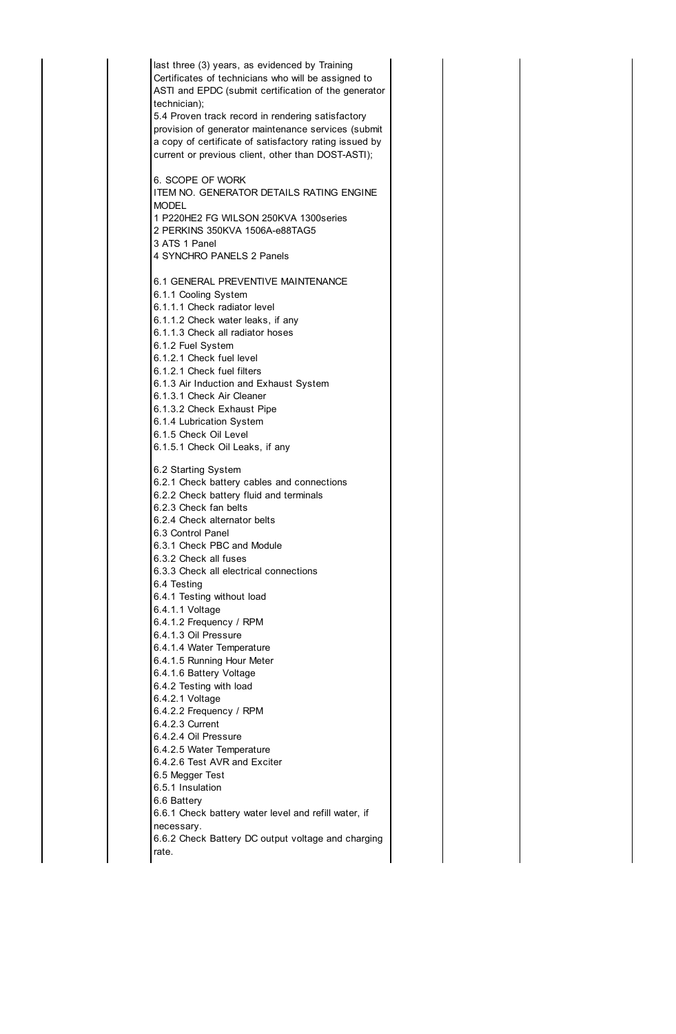last three (3) years, as evidenced by Training Certificates of technicians who will be assigned to ASTI and EPDC (submit certification of the generator technician); 5.4 Proven track record in rendering satisfactory provision of generator maintenance services (submit a copy of certificate of satisfactory rating issued by current or previous client, other than DOST-ASTI); 6. SCOPE OF WORK ITEM NO. GENERATOR DETAILS RATING ENGINE MODEL 1 P220HE2 FG WILSON 250KVA 1300series 2 PERKINS 350KVA 1506A-e88TAG5 3 ATS 1 Panel 4 SYNCHRO PANELS 2 Panels 6.1 GENERAL PREVENTIVE MAINTENANCE 6.1.1 Cooling System 6.1.1.1 Check radiator level 6.1.1.2 Check water leaks, if any 6.1.1.3 Check all radiator hoses 6.1.2 Fuel System 6.1.2.1 Check fuel level 6.1.2.1 Check fuel filters 6.1.3 Air Induction and Exhaust System 6.1.3.1 Check Air Cleaner 6.1.3.2 Check Exhaust Pipe 6.1.4 Lubrication System 6.1.5 Check Oil Level 6.1.5.1 Check Oil Leaks, if any 6.2 Starting System 6.2.1 Check battery cables and connections 6.2.2 Check battery fluid and terminals 6.2.3 Check fan belts 6.2.4 Check alternator belts 6.3 Control Panel 6.3.1 Check PBC and Module 6.3.2 Check all fuses 6.3.3 Check all electrical connections 6.4 Testing 6.4.1 Testing without load 6.4.1.1 Voltage 6.4.1.2 Frequency / RPM 6.4.1.3 Oil Pressure 6.4.1.4 Water Temperature 6.4.1.5 Running Hour Meter 6.4.1.6 Battery Voltage 6.4.2 Testing with load 6.4.2.1 Voltage 6.4.2.2 Frequency / RPM 6.4.2.3 Current 6.4.2.4 Oil Pressure 6.4.2.5 Water Temperature 6.4.2.6 Test AVR and Exciter 6.5 Megger Test 6.5.1 Insulation 6.6 Battery 6.6.1 Check battery water level and refill water, if necessary. 6.6.2 Check Battery DC output voltage and charging rate.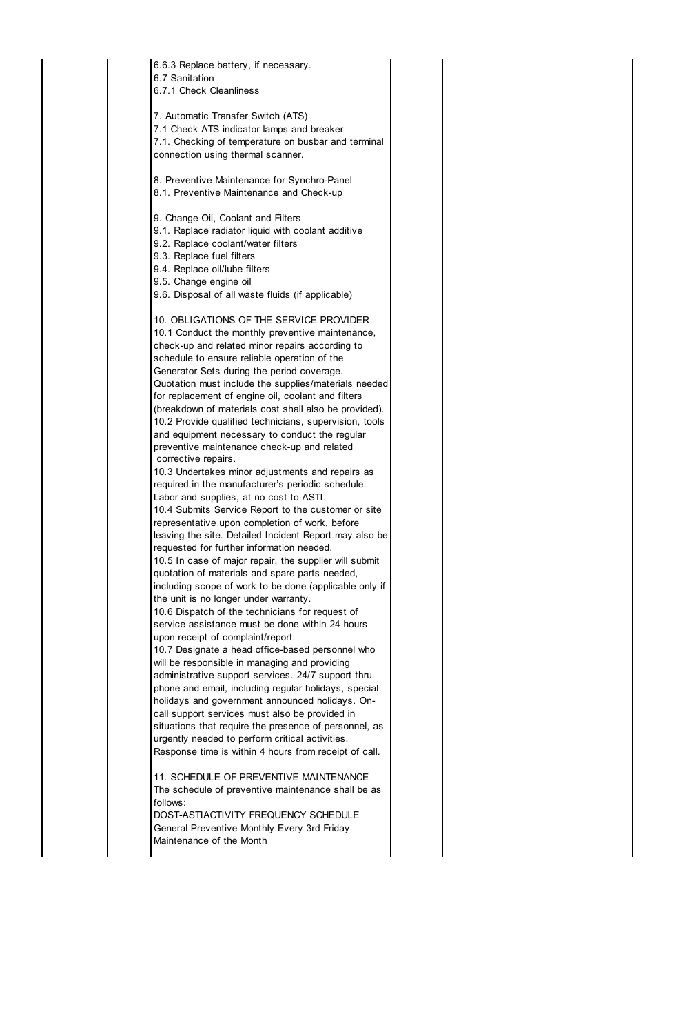| 6.6.3 Replace battery, if necessary.<br>6.7 Sanitation<br>6.7.1 Check Cleanliness                                                                                                                                                                                                                                                                                                                                                                                                                                                                                                                                                                                                                                                                                                                                                                                                                                                                                                                                                                                                                                                                                                                                                                                                                                                                                                                                                                                                                                                                                                                                                                                                                                                                                                                                               |
|---------------------------------------------------------------------------------------------------------------------------------------------------------------------------------------------------------------------------------------------------------------------------------------------------------------------------------------------------------------------------------------------------------------------------------------------------------------------------------------------------------------------------------------------------------------------------------------------------------------------------------------------------------------------------------------------------------------------------------------------------------------------------------------------------------------------------------------------------------------------------------------------------------------------------------------------------------------------------------------------------------------------------------------------------------------------------------------------------------------------------------------------------------------------------------------------------------------------------------------------------------------------------------------------------------------------------------------------------------------------------------------------------------------------------------------------------------------------------------------------------------------------------------------------------------------------------------------------------------------------------------------------------------------------------------------------------------------------------------------------------------------------------------------------------------------------------------|
| 7. Automatic Transfer Switch (ATS)<br>7.1 Check ATS indicator lamps and breaker<br>7.1. Checking of temperature on busbar and terminal<br>connection using thermal scanner.                                                                                                                                                                                                                                                                                                                                                                                                                                                                                                                                                                                                                                                                                                                                                                                                                                                                                                                                                                                                                                                                                                                                                                                                                                                                                                                                                                                                                                                                                                                                                                                                                                                     |
| 8. Preventive Maintenance for Synchro-Panel<br>8.1. Preventive Maintenance and Check-up                                                                                                                                                                                                                                                                                                                                                                                                                                                                                                                                                                                                                                                                                                                                                                                                                                                                                                                                                                                                                                                                                                                                                                                                                                                                                                                                                                                                                                                                                                                                                                                                                                                                                                                                         |
| 9. Change Oil, Coolant and Filters<br>9.1. Replace radiator liquid with coolant additive<br>9.2. Replace coolant/water filters<br>9.3. Replace fuel filters<br>9.4. Replace oil/lube filters<br>9.5. Change engine oil<br>9.6. Disposal of all waste fluids (if applicable)                                                                                                                                                                                                                                                                                                                                                                                                                                                                                                                                                                                                                                                                                                                                                                                                                                                                                                                                                                                                                                                                                                                                                                                                                                                                                                                                                                                                                                                                                                                                                     |
| 10. OBLIGATIONS OF THE SERVICE PROVIDER<br>10.1 Conduct the monthly preventive maintenance,<br>check-up and related minor repairs according to<br>schedule to ensure reliable operation of the<br>Generator Sets during the period coverage.<br>Quotation must include the supplies/materials needed<br>for replacement of engine oil, coolant and filters<br>(breakdown of materials cost shall also be provided).<br>10.2 Provide qualified technicians, supervision, tools<br>and equipment necessary to conduct the regular<br>preventive maintenance check-up and related<br>corrective repairs.<br>10.3 Undertakes minor adjustments and repairs as<br>required in the manufacturer's periodic schedule.<br>Labor and supplies, at no cost to ASTI.<br>10.4 Submits Service Report to the customer or site<br>representative upon completion of work, before<br>leaving the site. Detailed Incident Report may also be<br>requested for further information needed<br>10.5 In case of major repair, the supplier will submit<br>quotation of materials and spare parts needed,<br>including scope of work to be done (applicable only if<br>the unit is no longer under warranty.<br>10.6 Dispatch of the technicians for request of<br>service assistance must be done within 24 hours<br>upon receipt of complaint/report.<br>10.7 Designate a head office-based personnel who<br>will be responsible in managing and providing<br>administrative support services. 24/7 support thru<br>phone and email, including regular holidays, special<br>holidays and government announced holidays. On-<br>call support services must also be provided in<br>situations that require the presence of personnel, as<br>urgently needed to perform critical activities.<br>Response time is within 4 hours from receipt of call. |
| 11. SCHEDULE OF PREVENTIVE MAINTENANCE<br>The schedule of preventive maintenance shall be as<br>follows:<br>DOST-ASTIACTIVITY FREQUENCY SCHEDULE<br>General Preventive Monthly Every 3rd Friday<br>Maintenance of the Month                                                                                                                                                                                                                                                                                                                                                                                                                                                                                                                                                                                                                                                                                                                                                                                                                                                                                                                                                                                                                                                                                                                                                                                                                                                                                                                                                                                                                                                                                                                                                                                                     |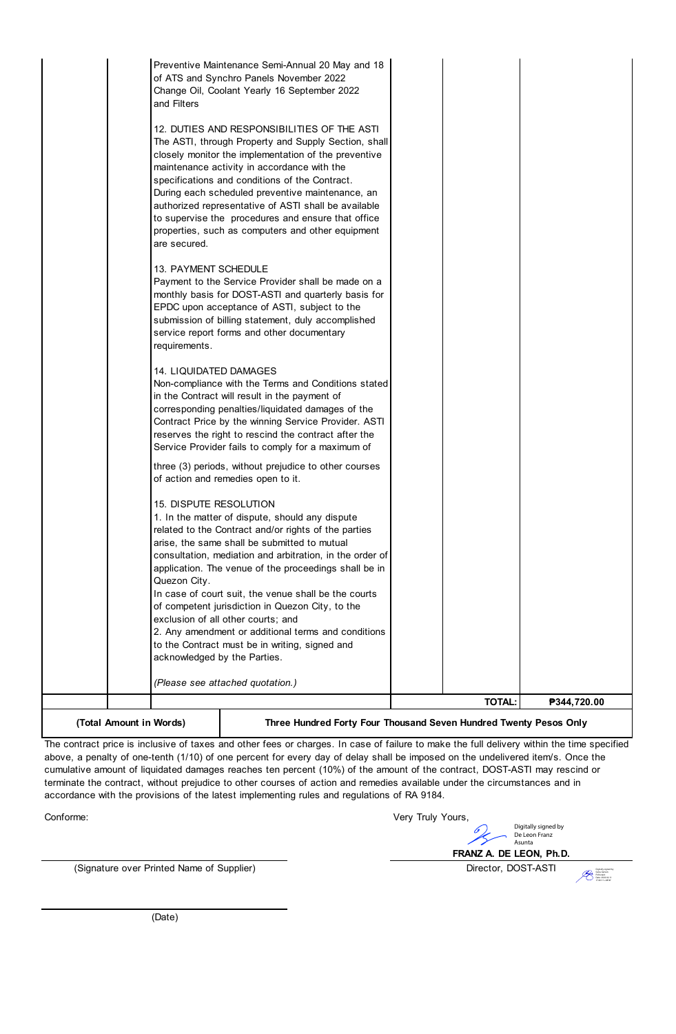| (Total Amount in Words) |                                                                                                           | Three Hundred Forty Four Thousand Seven Hundred Twenty Pesos Only |
|-------------------------|-----------------------------------------------------------------------------------------------------------|-------------------------------------------------------------------|
|                         |                                                                                                           | <b>TOTAL:</b><br>₱344,720.00                                      |
|                         | (Please see attached quotation.)                                                                          |                                                                   |
|                         |                                                                                                           |                                                                   |
|                         | acknowledged by the Parties.                                                                              |                                                                   |
|                         | to the Contract must be in writing, signed and                                                            |                                                                   |
|                         | exclusion of all other courts; and<br>2. Any amendment or additional terms and conditions                 |                                                                   |
|                         | of competent jurisdiction in Quezon City, to the                                                          |                                                                   |
|                         | In case of court suit, the venue shall be the courts                                                      |                                                                   |
|                         | Quezon City.                                                                                              |                                                                   |
|                         | application. The venue of the proceedings shall be in                                                     |                                                                   |
|                         | consultation, mediation and arbitration, in the order of                                                  |                                                                   |
|                         | related to the Contract and/or rights of the parties<br>arise, the same shall be submitted to mutual      |                                                                   |
|                         | 1. In the matter of dispute, should any dispute                                                           |                                                                   |
|                         | 15. DISPUTE RESOLUTION                                                                                    |                                                                   |
|                         | of action and remedies open to it.                                                                        |                                                                   |
|                         | three (3) periods, without prejudice to other courses                                                     |                                                                   |
|                         | reserves the right to rescind the contract after the<br>Service Provider fails to comply for a maximum of |                                                                   |
|                         | Contract Price by the winning Service Provider. ASTI                                                      |                                                                   |
|                         | corresponding penalties/liquidated damages of the                                                         |                                                                   |
|                         | in the Contract will result in the payment of                                                             |                                                                   |
|                         | <b>14. LIQUIDATED DAMAGES</b><br>Non-compliance with the Terms and Conditions stated                      |                                                                   |
|                         |                                                                                                           |                                                                   |
|                         | service report forms and other documentary<br>requirements.                                               |                                                                   |
|                         | submission of billing statement, duly accomplished                                                        |                                                                   |
|                         | EPDC upon acceptance of ASTI, subject to the                                                              |                                                                   |
|                         | monthly basis for DOST-ASTI and quarterly basis for                                                       |                                                                   |
|                         | Payment to the Service Provider shall be made on a                                                        |                                                                   |
|                         | 13. PAYMENT SCHEDULE                                                                                      |                                                                   |
|                         | are secured.                                                                                              |                                                                   |
|                         | properties, such as computers and other equipment                                                         |                                                                   |
|                         | to supervise the procedures and ensure that office                                                        |                                                                   |
|                         | During each scheduled preventive maintenance, an<br>authorized representative of ASTI shall be available  |                                                                   |
|                         | specifications and conditions of the Contract.                                                            |                                                                   |
|                         | maintenance activity in accordance with the                                                               |                                                                   |
|                         | closely monitor the implementation of the preventive                                                      |                                                                   |
|                         | The ASTI, through Property and Supply Section, shall                                                      |                                                                   |
|                         | 12. DUTIES AND RESPONSIBILITIES OF THE ASTI                                                               |                                                                   |
|                         |                                                                                                           |                                                                   |
|                         | Change Oil, Coolant Yearly 16 September 2022<br>and Filters                                               |                                                                   |
|                         | of ATS and Synchro Panels November 2022                                                                   |                                                                   |
|                         | Preventive Maintenance Semi-Annual 20 May and 18                                                          |                                                                   |
|                         |                                                                                                           |                                                                   |

 $\overline{\phantom{a}}$ The contract price is inclusive of taxes and other fees or charges. In case of failure to make the full delivery within the time specified above, a penalty of one-tenth (1/10) of one percent for every day of delay shall be imposed on the undelivered item/s. Once the cumulative amount of liquidated damages reaches ten percent (10%) of the amount of the contract, DOST-ASTI may rescind or terminate the contract, without prejudice to other courses of action and remedies available under the circumstances and in accordance with the provisions of the latest implementing rules and regulations of RA 9184.

Conforme:

Very Truly Yours,

(Signature over Printed Name of Supplier) Director, DOST-ASTI

**FRANZ A. DE LEON, Ph.D.**

Digitally signed by De Leon Franz Asunta

Digitally signed by Guba Gerwin Policarpio Date: 2022.02.11 17:40:11 +08'00'

(Date)